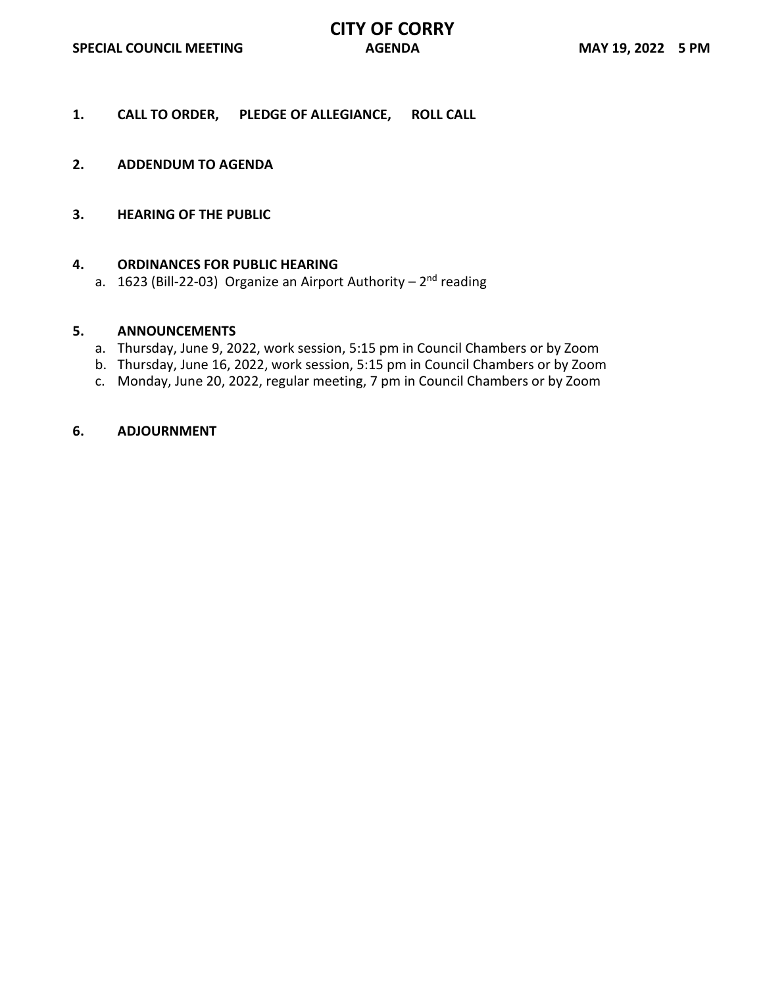- **1. CALL TO ORDER, PLEDGE OF ALLEGIANCE, ROLL CALL**
- **2. ADDENDUM TO AGENDA**
- **3. HEARING OF THE PUBLIC**

## **4. ORDINANCES FOR PUBLIC HEARING**

a. 1623 (Bill-22-03) Organize an Airport Authority –  $2<sup>nd</sup>$  reading

## **5. ANNOUNCEMENTS**

- a. Thursday, June 9, 2022, work session, 5:15 pm in Council Chambers or by Zoom
- b. Thursday, June 16, 2022, work session, 5:15 pm in Council Chambers or by Zoom
- c. Monday, June 20, 2022, regular meeting, 7 pm in Council Chambers or by Zoom

## **6. ADJOURNMENT**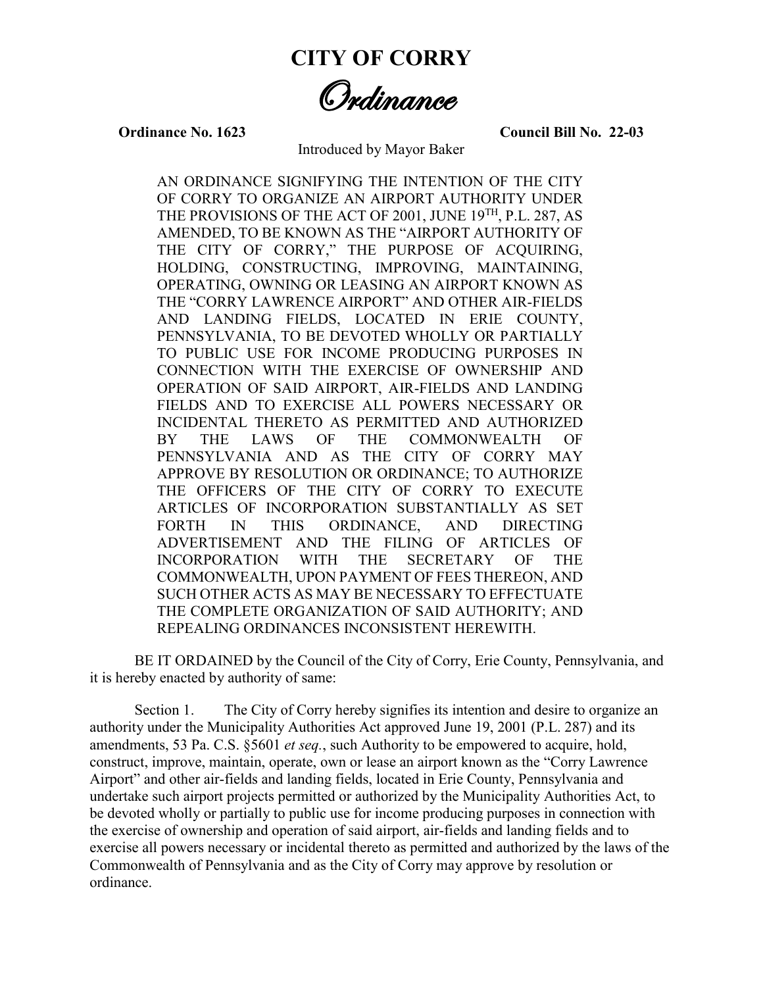**CITY OF CORRY**

Ordinance

**Ordinance No. 1623 Council Bill No. 22-03**

Introduced by Mayor Baker

AN ORDINANCE SIGNIFYING THE INTENTION OF THE CITY OF CORRY TO ORGANIZE AN AIRPORT AUTHORITY UNDER THE PROVISIONS OF THE ACT OF 2001, JUNE 19<sup>TH</sup>, P.L. 287, AS AMENDED, TO BE KNOWN AS THE "AIRPORT AUTHORITY OF THE CITY OF CORRY," THE PURPOSE OF ACQUIRING, HOLDING, CONSTRUCTING, IMPROVING, MAINTAINING, OPERATING, OWNING OR LEASING AN AIRPORT KNOWN AS THE "CORRY LAWRENCE AIRPORT" AND OTHER AIR-FIELDS AND LANDING FIELDS, LOCATED IN ERIE COUNTY, PENNSYLVANIA, TO BE DEVOTED WHOLLY OR PARTIALLY TO PUBLIC USE FOR INCOME PRODUCING PURPOSES IN CONNECTION WITH THE EXERCISE OF OWNERSHIP AND OPERATION OF SAID AIRPORT, AIR-FIELDS AND LANDING FIELDS AND TO EXERCISE ALL POWERS NECESSARY OR INCIDENTAL THERETO AS PERMITTED AND AUTHORIZED BY THE LAWS OF THE COMMONWEALTH OF PENNSYLVANIA AND AS THE CITY OF CORRY MAY APPROVE BY RESOLUTION OR ORDINANCE; TO AUTHORIZE THE OFFICERS OF THE CITY OF CORRY TO EXECUTE ARTICLES OF INCORPORATION SUBSTANTIALLY AS SET FORTH IN THIS ORDINANCE, AND DIRECTING ADVERTISEMENT AND THE FILING OF ARTICLES OF INCORPORATION WITH THE SECRETARY OF THE COMMONWEALTH, UPON PAYMENT OF FEES THEREON, AND SUCH OTHER ACTS AS MAY BE NECESSARY TO EFFECTUATE THE COMPLETE ORGANIZATION OF SAID AUTHORITY; AND REPEALING ORDINANCES INCONSISTENT HEREWITH.

BE IT ORDAINED by the Council of the City of Corry, Erie County, Pennsylvania, and it is hereby enacted by authority of same:

Section 1. The City of Corry hereby signifies its intention and desire to organize an authority under the Municipality Authorities Act approved June 19, 2001 (P.L. 287) and its amendments, 53 Pa. C.S. §5601 *et seq.*, such Authority to be empowered to acquire, hold, construct, improve, maintain, operate, own or lease an airport known as the "Corry Lawrence Airport" and other air-fields and landing fields, located in Erie County, Pennsylvania and undertake such airport projects permitted or authorized by the Municipality Authorities Act, to be devoted wholly or partially to public use for income producing purposes in connection with the exercise of ownership and operation of said airport, air-fields and landing fields and to exercise all powers necessary or incidental thereto as permitted and authorized by the laws of the Commonwealth of Pennsylvania and as the City of Corry may approve by resolution or ordinance.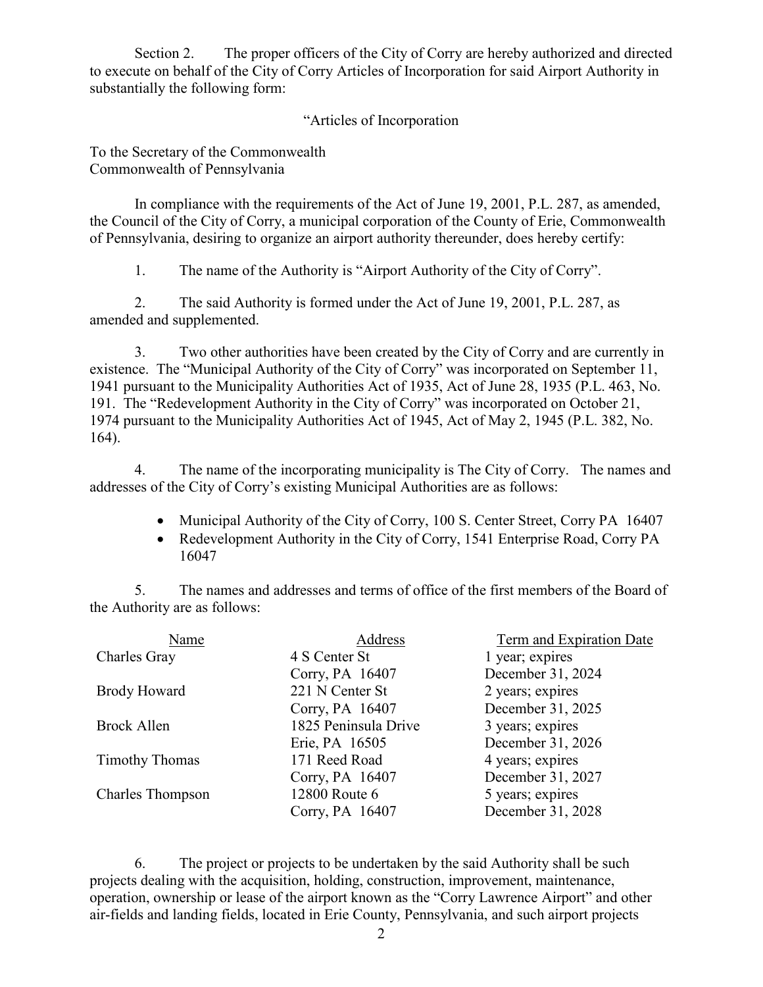Section 2. The proper officers of the City of Corry are hereby authorized and directed to execute on behalf of the City of Corry Articles of Incorporation for said Airport Authority in substantially the following form:

"Articles of Incorporation

To the Secretary of the Commonwealth Commonwealth of Pennsylvania

In compliance with the requirements of the Act of June 19, 2001, P.L. 287, as amended, the Council of the City of Corry, a municipal corporation of the County of Erie, Commonwealth of Pennsylvania, desiring to organize an airport authority thereunder, does hereby certify:

1. The name of the Authority is "Airport Authority of the City of Corry".

2. The said Authority is formed under the Act of June 19, 2001, P.L. 287, as amended and supplemented.

3. Two other authorities have been created by the City of Corry and are currently in existence. The "Municipal Authority of the City of Corry" was incorporated on September 11, 1941 pursuant to the Municipality Authorities Act of 1935, Act of June 28, 1935 (P.L. 463, No. 191. The "Redevelopment Authority in the City of Corry" was incorporated on October 21, 1974 pursuant to the Municipality Authorities Act of 1945, Act of May 2, 1945 (P.L. 382, No. 164).

4. The name of the incorporating municipality is The City of Corry. The names and addresses of the City of Corry's existing Municipal Authorities are as follows:

- Municipal Authority of the City of Corry, 100 S. Center Street, Corry PA 16407
- Redevelopment Authority in the City of Corry, 1541 Enterprise Road, Corry PA 16047

5. The names and addresses and terms of office of the first members of the Board of the Authority are as follows:

| Name                    | Address              | Term and Expiration Date |
|-------------------------|----------------------|--------------------------|
| Charles Gray            | 4 S Center St        | 1 year; expires          |
|                         | Corry, PA 16407      | December 31, 2024        |
| <b>Brody Howard</b>     | 221 N Center St      | 2 years; expires         |
|                         | Corry, PA 16407      | December 31, 2025        |
| Brock Allen             | 1825 Peninsula Drive | 3 years; expires         |
|                         | Erie, PA 16505       | December 31, 2026        |
| <b>Timothy Thomas</b>   | 171 Reed Road        | 4 years; expires         |
|                         | Corry, PA 16407      | December 31, 2027        |
| <b>Charles Thompson</b> | 12800 Route 6        | 5 years; expires         |
|                         | Corry, PA 16407      | December 31, 2028        |

6. The project or projects to be undertaken by the said Authority shall be such projects dealing with the acquisition, holding, construction, improvement, maintenance, operation, ownership or lease of the airport known as the "Corry Lawrence Airport" and other air-fields and landing fields, located in Erie County, Pennsylvania, and such airport projects